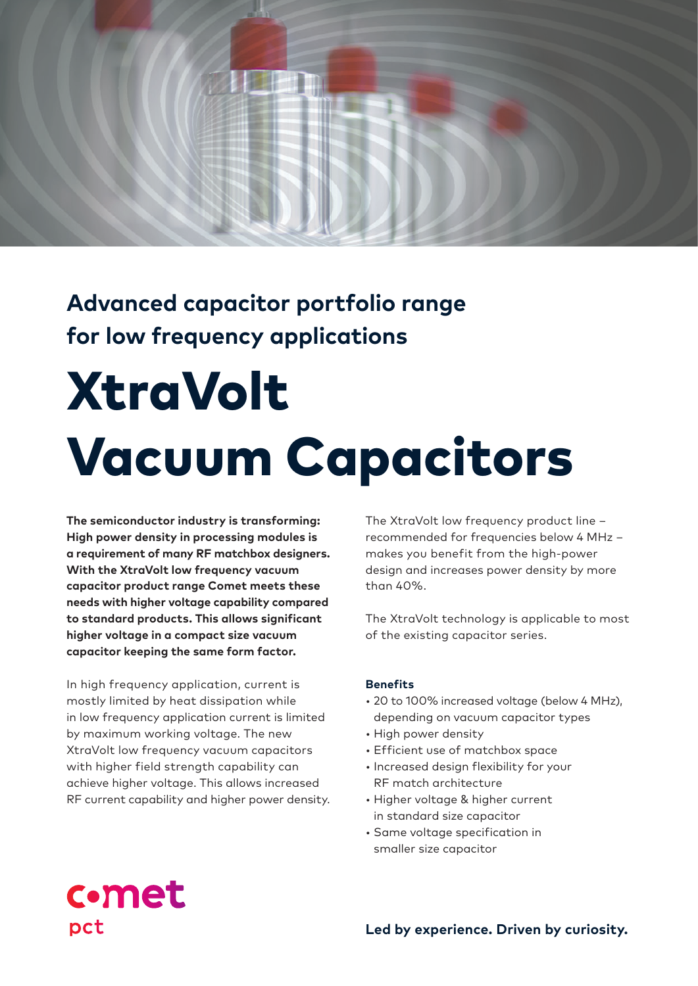

# **Advanced capacitor portfolio range for low frequency applications**

# **XtraVolt** Vacuum Capacitors

**The semiconductor industry is transforming: High power density in processing modules is a requirement of many RF matchbox designers. With the XtraVolt low frequency vacuum capacitor product range Comet meets these needs with higher voltage capability compared to standard products. This allows significant higher voltage in a compact size vacuum capacitor keeping the same form factor.** 

In high frequency application, current is mostly limited by heat dissipation while in low frequency application current is limited by maximum working voltage. The new XtraVolt low frequency vacuum capacitors with higher field strength capability can achieve higher voltage. This allows increased RF current capability and higher power density. The XtraVolt low frequency product line – recommended for frequencies below 4 MHz – makes you benefit from the high-power design and increases power density by more than 40%.

The XtraVolt technology is applicable to most of the existing capacitor series.

#### **Benefits**

- 20 to 100% increased voltage (below 4 MHz), depending on vacuum capacitor types
- High power density
- Efficient use of matchbox space
- Increased design flexibility for your RF match architecture
- Higher voltage & higher current in standard size capacitor
- Same voltage specification in smaller size capacitor

# **c**•met pct

**Led by experience. Driven by curiosity.**